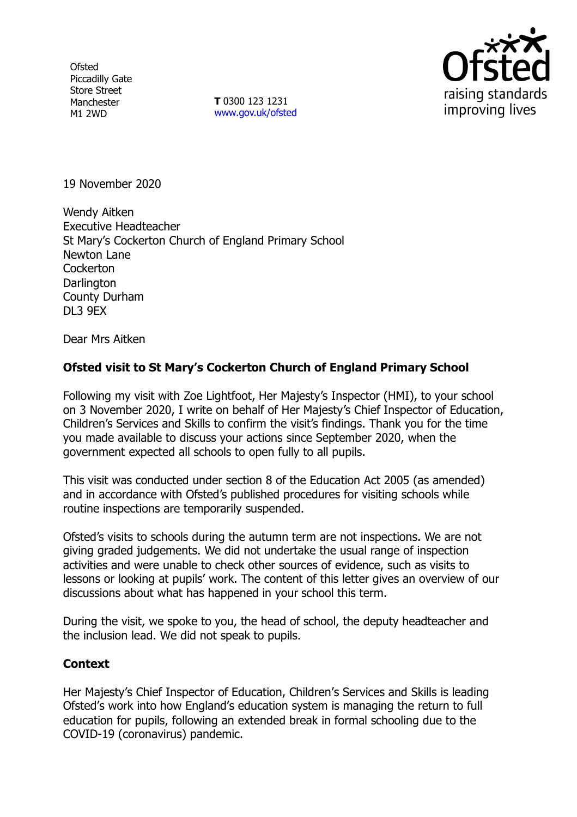**Ofsted** Piccadilly Gate Store Street Manchester M1 2WD

**T** 0300 123 1231 [www.gov.uk/ofsted](http://www.gov.uk/ofsted)



19 November 2020

Wendy Aitken Executive Headteacher St Mary's Cockerton Church of England Primary School Newton Lane **Cockerton Darlington** County Durham DL3 9EX

Dear Mrs Aitken

## **Ofsted visit to St Mary's Cockerton Church of England Primary School**

Following my visit with Zoe Lightfoot, Her Majesty's Inspector (HMI), to your school on 3 November 2020, I write on behalf of Her Majesty's Chief Inspector of Education, Children's Services and Skills to confirm the visit's findings. Thank you for the time you made available to discuss your actions since September 2020, when the government expected all schools to open fully to all pupils.

This visit was conducted under section 8 of the Education Act 2005 (as amended) and in accordance with Ofsted's published procedures for visiting schools while routine inspections are temporarily suspended.

Ofsted's visits to schools during the autumn term are not inspections. We are not giving graded judgements. We did not undertake the usual range of inspection activities and were unable to check other sources of evidence, such as visits to lessons or looking at pupils' work. The content of this letter gives an overview of our discussions about what has happened in your school this term.

During the visit, we spoke to you, the head of school, the deputy headteacher and the inclusion lead. We did not speak to pupils.

## **Context**

Her Majesty's Chief Inspector of Education, Children's Services and Skills is leading Ofsted's work into how England's education system is managing the return to full education for pupils, following an extended break in formal schooling due to the COVID-19 (coronavirus) pandemic.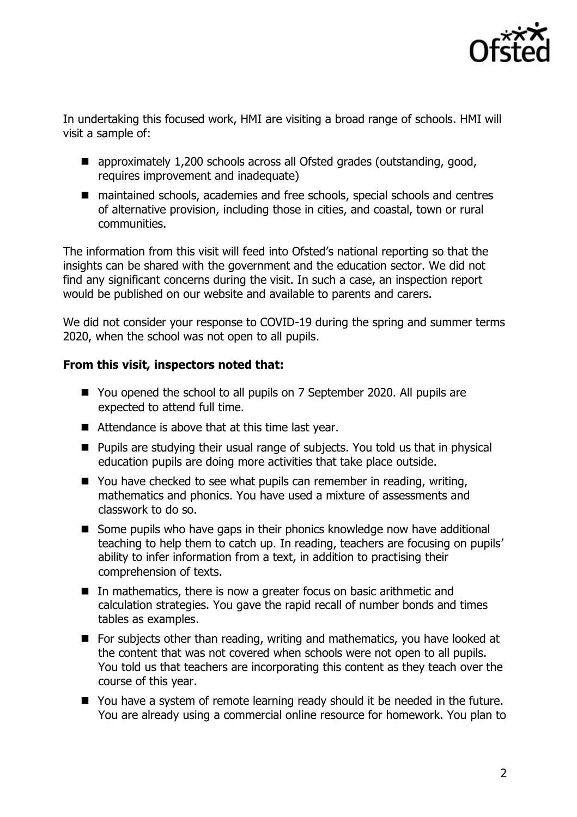

In undertaking this focused work, HMI are visiting a broad range of schools. HMI will visit a sample of:

- approximately 1,200 schools across all Ofsted grades (outstanding, good, requires improvement and inadequate)
- maintained schools, academies and free schools, special schools and centres of alternative provision, including those in cities, and coastal, town or rural communities.

The information from this visit will feed into Ofsted's national reporting so that the insights can be shared with the government and the education sector. We did not find any significant concerns during the visit. In such a case, an inspection report would be published on our website and available to parents and carers.

We did not consider your response to COVID-19 during the spring and summer terms 2020, when the school was not open to all pupils.

## **From this visit, inspectors noted that:**

- You opened the school to all pupils on 7 September 2020. All pupils are expected to attend full time.
- Attendance is above that at this time last year.
- Pupils are studying their usual range of subjects. You told us that in physical education pupils are doing more activities that take place outside.
- You have checked to see what pupils can remember in reading, writing, mathematics and phonics. You have used a mixture of assessments and classwork to do so.
- Some pupils who have gaps in their phonics knowledge now have additional teaching to help them to catch up. In reading, teachers are focusing on pupils' ability to infer information from a text, in addition to practising their comprehension of texts.
- In mathematics, there is now a greater focus on basic arithmetic and calculation strategies. You gave the rapid recall of number bonds and times tables as examples.
- For subjects other than reading, writing and mathematics, you have looked at the content that was not covered when schools were not open to all pupils. You told us that teachers are incorporating this content as they teach over the course of this year.
- You have a system of remote learning ready should it be needed in the future. You are already using a commercial online resource for homework. You plan to